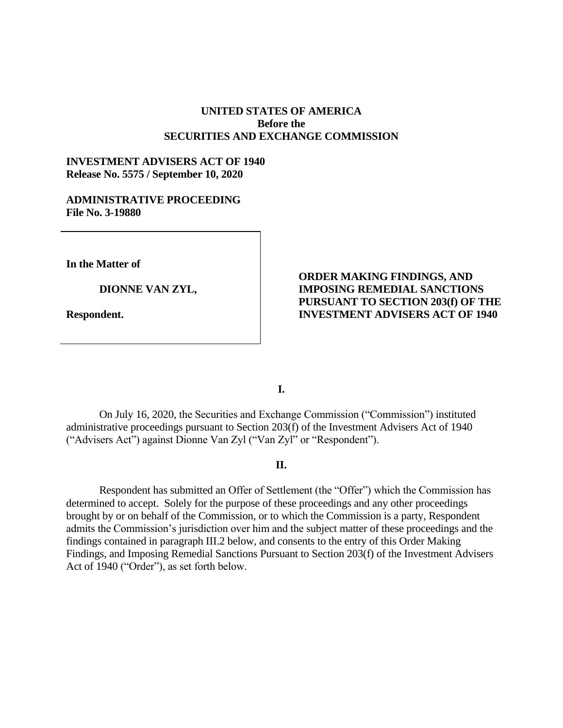## **UNITED STATES OF AMERICA Before the SECURITIES AND EXCHANGE COMMISSION**

## **INVESTMENT ADVISERS ACT OF 1940 Release No. 5575 / September 10, 2020**

### **ADMINISTRATIVE PROCEEDING File No. 3-19880**

**In the Matter of**

**DIONNE VAN ZYL,** 

**Respondent.**

# **ORDER MAKING FINDINGS, AND IMPOSING REMEDIAL SANCTIONS PURSUANT TO SECTION 203(f) OF THE INVESTMENT ADVISERS ACT OF 1940**

**I.**

On July 16, 2020, the Securities and Exchange Commission ("Commission") instituted administrative proceedings pursuant to Section 203(f) of the Investment Advisers Act of 1940 ("Advisers Act") against Dionne Van Zyl ("Van Zyl" or "Respondent").

### **II.**

Respondent has submitted an Offer of Settlement (the "Offer") which the Commission has determined to accept. Solely for the purpose of these proceedings and any other proceedings brought by or on behalf of the Commission, or to which the Commission is a party, Respondent admits the Commission's jurisdiction over him and the subject matter of these proceedings and the findings contained in paragraph III.2 below, and consents to the entry of this Order Making Findings, and Imposing Remedial Sanctions Pursuant to Section 203(f) of the Investment Advisers Act of 1940 ("Order"), as set forth below.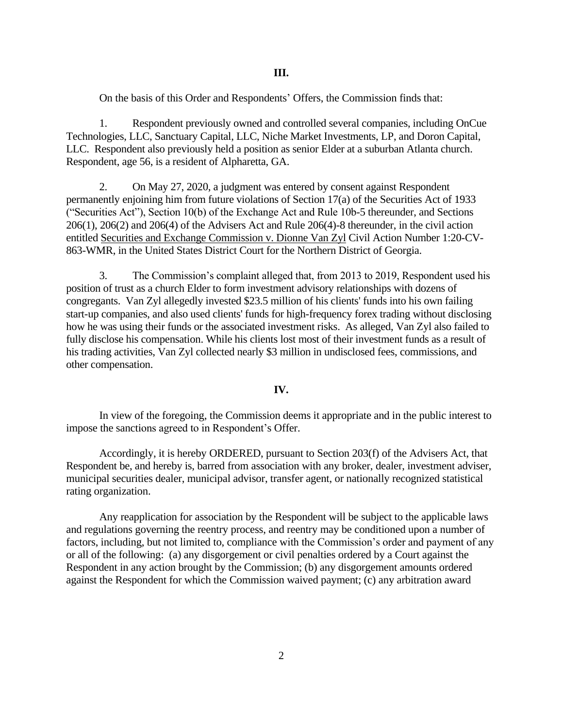On the basis of this Order and Respondents' Offers, the Commission finds that:

1. Respondent previously owned and controlled several companies, including OnCue Technologies, LLC, Sanctuary Capital, LLC, Niche Market Investments, LP, and Doron Capital, LLC. Respondent also previously held a position as senior Elder at a suburban Atlanta church. Respondent, age 56, is a resident of Alpharetta, GA.

2. On May 27, 2020, a judgment was entered by consent against Respondent permanently enjoining him from future violations of Section 17(a) of the Securities Act of 1933 ("Securities Act"), Section 10(b) of the Exchange Act and Rule 10b-5 thereunder, and Sections 206(1), 206(2) and 206(4) of the Advisers Act and Rule 206(4)-8 thereunder, in the civil action entitled Securities and Exchange Commission v. Dionne Van Zyl Civil Action Number 1:20-CV-863-WMR, in the United States District Court for the Northern District of Georgia.

3. The Commission's complaint alleged that, from 2013 to 2019, Respondent used his position of trust as a church Elder to form investment advisory relationships with dozens of congregants. Van Zyl allegedly invested \$23.5 million of his clients' funds into his own failing start-up companies, and also used clients' funds for high-frequency forex trading without disclosing how he was using their funds or the associated investment risks. As alleged, Van Zyl also failed to fully disclose his compensation. While his clients lost most of their investment funds as a result of his trading activities, Van Zyl collected nearly \$3 million in undisclosed fees, commissions, and other compensation.

### **IV.**

In view of the foregoing, the Commission deems it appropriate and in the public interest to impose the sanctions agreed to in Respondent's Offer.

Accordingly, it is hereby ORDERED, pursuant to Section 203(f) of the Advisers Act, that Respondent be, and hereby is, barred from association with any broker, dealer, investment adviser, municipal securities dealer, municipal advisor, transfer agent, or nationally recognized statistical rating organization.

Any reapplication for association by the Respondent will be subject to the applicable laws and regulations governing the reentry process, and reentry may be conditioned upon a number of factors, including, but not limited to, compliance with the Commission's order and payment of any or all of the following: (a) any disgorgement or civil penalties ordered by a Court against the Respondent in any action brought by the Commission; (b) any disgorgement amounts ordered against the Respondent for which the Commission waived payment; (c) any arbitration award